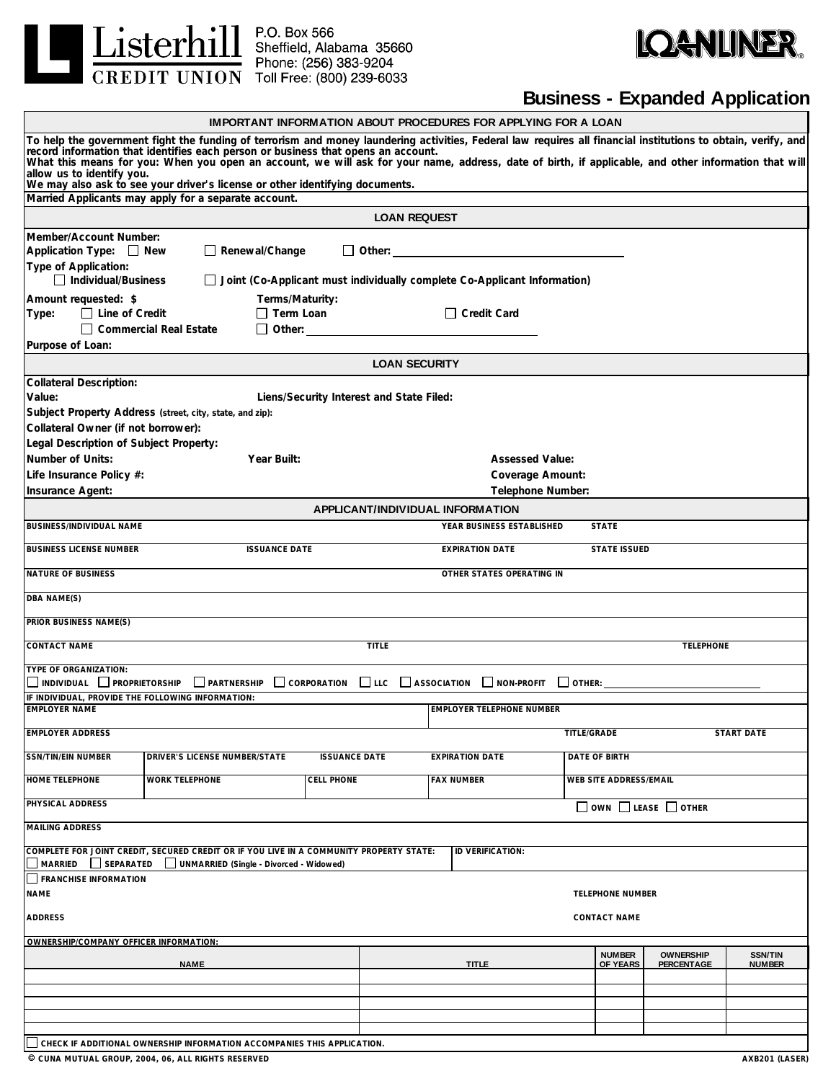



## **Business - Expanded Application**

|                                                                                                                                                                                                                                                                                                                                                                                                                                 | IMPORTANT INFORMATION ABOUT PROCEDURES FOR APPLYING FOR A LOAN |                                             |                                                       |                           |                                |                                 |  |  |  |
|---------------------------------------------------------------------------------------------------------------------------------------------------------------------------------------------------------------------------------------------------------------------------------------------------------------------------------------------------------------------------------------------------------------------------------|----------------------------------------------------------------|---------------------------------------------|-------------------------------------------------------|---------------------------|--------------------------------|---------------------------------|--|--|--|
| To help the government fight the funding of terrorism and money laundering activities, Federal law requires all financial institutions to obtain, verify, and<br>record information that identifies each person or business that opens an account.<br>What this means for you: When you open an account, we will ask for your name, address, date of birth, if applicable, and other information t<br>allow us to identify you. |                                                                |                                             |                                                       |                           |                                |                                 |  |  |  |
| We may also ask to see your driver's license or other identifying documents.<br>Married Applicants may apply for a separate account.                                                                                                                                                                                                                                                                                            |                                                                |                                             |                                                       |                           |                                |                                 |  |  |  |
|                                                                                                                                                                                                                                                                                                                                                                                                                                 |                                                                | <b>LOAN REQUEST</b>                         |                                                       |                           |                                |                                 |  |  |  |
| Member/Account Number:<br>Application Type: New<br>Renewal/Change                                                                                                                                                                                                                                                                                                                                                               |                                                                | $\Box$ Other:                               |                                                       |                           |                                |                                 |  |  |  |
| Type of Application:<br>$\Box$ Individual/Business                                                                                                                                                                                                                                                                                                                                                                              |                                                                |                                             |                                                       |                           |                                |                                 |  |  |  |
| Joint (Co-Applicant must individually complete Co-Applicant Information)<br>Terms/Maturity:<br>Amount requested: \$                                                                                                                                                                                                                                                                                                             |                                                                |                                             |                                                       |                           |                                |                                 |  |  |  |
| $\Box$ Term Loan<br>$\Box$ Credit Card<br>$\Box$ Line of Credit<br>Type:<br>$\Box$ Commercial Real Estate                                                                                                                                                                                                                                                                                                                       |                                                                |                                             |                                                       |                           |                                |                                 |  |  |  |
| Purpose of Loan:                                                                                                                                                                                                                                                                                                                                                                                                                |                                                                |                                             |                                                       |                           |                                |                                 |  |  |  |
|                                                                                                                                                                                                                                                                                                                                                                                                                                 |                                                                | <b>LOAN SECURITY</b>                        |                                                       |                           |                                |                                 |  |  |  |
| <b>Collateral Description:</b><br>Value:                                                                                                                                                                                                                                                                                                                                                                                        |                                                                | Liens/Security Interest and State Filed:    |                                                       |                           |                                |                                 |  |  |  |
| Subject Property Address (street, city, state, and zip):                                                                                                                                                                                                                                                                                                                                                                        |                                                                |                                             |                                                       |                           |                                |                                 |  |  |  |
| Collateral Owner (if not borrower):                                                                                                                                                                                                                                                                                                                                                                                             |                                                                |                                             |                                                       |                           |                                |                                 |  |  |  |
| Legal Description of Subject Property:                                                                                                                                                                                                                                                                                                                                                                                          |                                                                |                                             |                                                       |                           |                                |                                 |  |  |  |
| Number of Units:<br>Year Built:                                                                                                                                                                                                                                                                                                                                                                                                 |                                                                |                                             | <b>Assessed Value:</b>                                |                           |                                |                                 |  |  |  |
| Life Insurance Policy #:                                                                                                                                                                                                                                                                                                                                                                                                        |                                                                |                                             | Coverage Amount:                                      |                           |                                |                                 |  |  |  |
| <b>Insurance Agent:</b>                                                                                                                                                                                                                                                                                                                                                                                                         |                                                                |                                             | Telephone Number:<br>APPLICANT/INDIVIDUAL INFORMATION |                           |                                |                                 |  |  |  |
| BUSINESS/INDIVIDUAL NAME                                                                                                                                                                                                                                                                                                                                                                                                        |                                                                |                                             | YEAR BUSINESS ESTABLISHED                             | <b>STATE</b>              |                                |                                 |  |  |  |
| <b>BUSINESS LICENSE NUMBER</b><br><b>ISSUANCE DATE</b>                                                                                                                                                                                                                                                                                                                                                                          |                                                                |                                             | <b>EXPIRATION DATE</b>                                |                           | <b>STATE ISSUED</b>            |                                 |  |  |  |
| <b>NATURE OF BUSINESS</b>                                                                                                                                                                                                                                                                                                                                                                                                       |                                                                |                                             | OTHER STATES OPERATING IN                             |                           |                                |                                 |  |  |  |
| DBA NAME(S)                                                                                                                                                                                                                                                                                                                                                                                                                     |                                                                |                                             |                                                       |                           |                                |                                 |  |  |  |
| PRIOR BUSINESS NAME(S)                                                                                                                                                                                                                                                                                                                                                                                                          |                                                                |                                             |                                                       |                           |                                |                                 |  |  |  |
| <b>CONTACT NAME</b><br><b>TITLE</b><br><b>TELEPHONE</b>                                                                                                                                                                                                                                                                                                                                                                         |                                                                |                                             |                                                       |                           |                                |                                 |  |  |  |
| <b>TYPE OF ORGANIZATION:</b><br>$\Box$ CORPORATION $\Box$ LLC $\Box$ ASSOCIATION $\Box$ NON-PROFIT<br>$\Box$ PARTNERSHIP<br>$\Box$ individual $\Box$ proprietorship                                                                                                                                                                                                                                                             |                                                                |                                             |                                                       |                           |                                |                                 |  |  |  |
| IF INDIVIDUAL, PROVIDE THE FOLLOWING INFORMATION:                                                                                                                                                                                                                                                                                                                                                                               |                                                                |                                             |                                                       |                           |                                |                                 |  |  |  |
| <b>EMPLOYER NAME</b>                                                                                                                                                                                                                                                                                                                                                                                                            |                                                                |                                             | <b>EMPLOYER TELEPHONE NUMBER</b>                      |                           |                                |                                 |  |  |  |
| <b>EMPLOYER ADDRESS</b>                                                                                                                                                                                                                                                                                                                                                                                                         |                                                                |                                             | TITLE/GRADE                                           |                           |                                | <b>START DATE</b>               |  |  |  |
| <b>SSN/TIN/EIN NUMBER</b><br>DRIVER'S LICENSE NUMBER/STATE                                                                                                                                                                                                                                                                                                                                                                      | <b>ISSUANCE DATE</b>                                           |                                             | <b>EXPIRATION DATE</b>                                | DATE OF BIRTH             |                                |                                 |  |  |  |
| <b>HOME TELEPHONE</b><br><b>WORK TELEPHONE</b>                                                                                                                                                                                                                                                                                                                                                                                  | <b>CELL PHONE</b>                                              | <b>FAX NUMBER</b><br>WEB SITE ADDRESS/EMAIL |                                                       |                           |                                |                                 |  |  |  |
| PHYSICAL ADDRESS<br>$\Box$ OWN $\Box$ LEASE $\Box$ OTHER                                                                                                                                                                                                                                                                                                                                                                        |                                                                |                                             |                                                       |                           |                                |                                 |  |  |  |
| <b>MAILING ADDRESS</b>                                                                                                                                                                                                                                                                                                                                                                                                          |                                                                |                                             |                                                       |                           |                                |                                 |  |  |  |
| COMPLETE FOR JOINT CREDIT, SECURED CREDIT OR IF YOU LIVE IN A COMMUNITY PROPERTY STATE:<br>MARRIED<br>SEPARATED<br>UNMARRIED (Single - Divorced - Widowed)                                                                                                                                                                                                                                                                      |                                                                |                                             | ID VERIFICATION:                                      |                           |                                |                                 |  |  |  |
| <b>FRANCHISE INFORMATION</b><br><b>NAME</b><br><b>TELEPHONE NUMBER</b>                                                                                                                                                                                                                                                                                                                                                          |                                                                |                                             |                                                       |                           |                                |                                 |  |  |  |
| <b>ADDRESS</b><br><b>CONTACT NAME</b>                                                                                                                                                                                                                                                                                                                                                                                           |                                                                |                                             |                                                       |                           |                                |                                 |  |  |  |
| OWNERSHIP/COMPANY OFFICER INFORMATION:                                                                                                                                                                                                                                                                                                                                                                                          |                                                                |                                             |                                                       |                           |                                |                                 |  |  |  |
| <b>NAME</b>                                                                                                                                                                                                                                                                                                                                                                                                                     | <b>TITLE</b>                                                   |                                             |                                                       | <b>NUMBER</b><br>OF YEARS | <b>OWNERSHIP</b><br>PERCENTAGE | <b>SSN/TIN</b><br><b>NUMBER</b> |  |  |  |
|                                                                                                                                                                                                                                                                                                                                                                                                                                 |                                                                |                                             |                                                       |                           |                                |                                 |  |  |  |
|                                                                                                                                                                                                                                                                                                                                                                                                                                 |                                                                |                                             |                                                       |                           |                                |                                 |  |  |  |
|                                                                                                                                                                                                                                                                                                                                                                                                                                 |                                                                |                                             |                                                       |                           |                                |                                 |  |  |  |
|                                                                                                                                                                                                                                                                                                                                                                                                                                 |                                                                |                                             |                                                       |                           |                                |                                 |  |  |  |
| CHECK IF ADDITIONAL OWNERSHIP INFORMATION ACCOMPANIES THIS APPLICATION.<br>C CUNA MUTUAL GROUP, 2004, 06, ALL RIGHTS RESERVED<br>AXB201 (LASER)                                                                                                                                                                                                                                                                                 |                                                                |                                             |                                                       |                           |                                |                                 |  |  |  |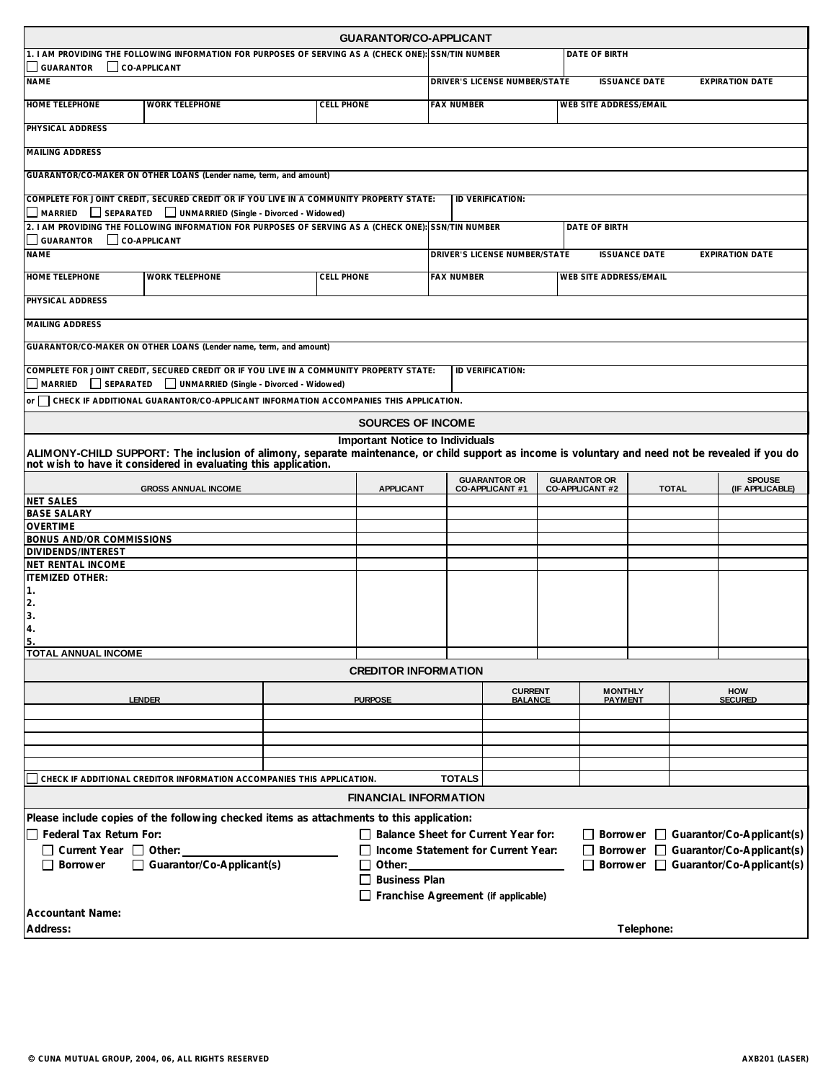|                                                                                                                                                           |                                                                                                                                                                                                                                                               |                   | <b>GUARANTOR/CO-APPLICANT</b>                                                               |                                                                                 |                                               |                               |                                               |            |                              |                                  |
|-----------------------------------------------------------------------------------------------------------------------------------------------------------|---------------------------------------------------------------------------------------------------------------------------------------------------------------------------------------------------------------------------------------------------------------|-------------------|---------------------------------------------------------------------------------------------|---------------------------------------------------------------------------------|-----------------------------------------------|-------------------------------|-----------------------------------------------|------------|------------------------------|----------------------------------|
| 1. I AM PROVIDING THE FOLLOWING INFORMATION FOR PURPOSES OF SERVING AS A (CHECK ONE): SSN/TIN NUMBER                                                      |                                                                                                                                                                                                                                                               |                   |                                                                                             |                                                                                 | DATE OF BIRTH                                 |                               |                                               |            |                              |                                  |
| CO-APPLICANT<br><b>GUARANTOR</b><br><b>NAME</b>                                                                                                           |                                                                                                                                                                                                                                                               |                   |                                                                                             | DRIVER'S LICENSE NUMBER/STATE<br><b>ISSUANCE DATE</b>                           |                                               |                               |                                               |            | <b>EXPIRATION DATE</b>       |                                  |
| <b>HOME TELEPHONE</b>                                                                                                                                     | <b>WORK TELEPHONE</b>                                                                                                                                                                                                                                         | <b>CELL PHONE</b> |                                                                                             | <b>FAX NUMBER</b>                                                               |                                               |                               | <b>WEB SITE ADDRESS/EMAIL</b>                 |            |                              |                                  |
| PHYSICAL ADDRESS                                                                                                                                          |                                                                                                                                                                                                                                                               |                   |                                                                                             |                                                                                 |                                               |                               |                                               |            |                              |                                  |
| <b>MAILING ADDRESS</b>                                                                                                                                    |                                                                                                                                                                                                                                                               |                   |                                                                                             |                                                                                 |                                               |                               |                                               |            |                              |                                  |
|                                                                                                                                                           | GUARANTOR/CO-MAKER ON OTHER LOANS (Lender name, term, and amount)                                                                                                                                                                                             |                   |                                                                                             |                                                                                 |                                               |                               |                                               |            |                              |                                  |
|                                                                                                                                                           | COMPLETE FOR JOINT CREDIT, SECURED CREDIT OR IF YOU LIVE IN A COMMUNITY PROPERTY STATE:<br>MARRIED SEPARATED UNMARRIED (Single - Divorced - Widowed)                                                                                                          |                   |                                                                                             |                                                                                 | ID VERIFICATION:                              |                               |                                               |            |                              |                                  |
| 2. I AM PROVIDING THE FOLLOWING INFORMATION FOR PURPOSES OF SERVING AS A (CHECK ONE): SSN/TIN NUMBER<br>DATE OF BIRTH<br><b>GUARANTOR</b><br>CO-APPLICANT |                                                                                                                                                                                                                                                               |                   |                                                                                             |                                                                                 |                                               |                               |                                               |            |                              |                                  |
| <b>NAME</b>                                                                                                                                               |                                                                                                                                                                                                                                                               |                   |                                                                                             | DRIVER'S LICENSE NUMBER/STATE<br><b>ISSUANCE DATE</b><br><b>EXPIRATION DATE</b> |                                               |                               |                                               |            |                              |                                  |
| HOME TELEPHONE                                                                                                                                            | <b>WORK TELEPHONE</b>                                                                                                                                                                                                                                         | <b>CELL PHONE</b> | <b>FAX NUMBER</b>                                                                           |                                                                                 |                                               | <b>WEB SITE ADDRESS/EMAIL</b> |                                               |            |                              |                                  |
| PHYSICAL ADDRESS                                                                                                                                          |                                                                                                                                                                                                                                                               |                   |                                                                                             |                                                                                 |                                               |                               |                                               |            |                              |                                  |
| <b>MAILING ADDRESS</b>                                                                                                                                    |                                                                                                                                                                                                                                                               |                   |                                                                                             |                                                                                 |                                               |                               |                                               |            |                              |                                  |
|                                                                                                                                                           | GUARANTOR/CO-MAKER ON OTHER LOANS (Lender name, term, and amount)                                                                                                                                                                                             |                   |                                                                                             |                                                                                 |                                               |                               |                                               |            |                              |                                  |
|                                                                                                                                                           | COMPLETE FOR JOINT CREDIT, SECURED CREDIT OR IF YOU LIVE IN A COMMUNITY PROPERTY STATE:<br>MARRIED SEPARATED UNMARRIED (Single - Divorced - Widowed)                                                                                                          |                   |                                                                                             |                                                                                 | <b>ID VERIFICATION:</b>                       |                               |                                               |            |                              |                                  |
|                                                                                                                                                           | or CHECK IF ADDITIONAL GUARANTOR/CO-APPLICANT INFORMATION ACCOMPANIES THIS APPLICATION.                                                                                                                                                                       |                   |                                                                                             |                                                                                 |                                               |                               |                                               |            |                              |                                  |
|                                                                                                                                                           |                                                                                                                                                                                                                                                               |                   | <b>SOURCES OF INCOME</b>                                                                    |                                                                                 |                                               |                               |                                               |            |                              |                                  |
|                                                                                                                                                           | <b>Important Notice to Individuals</b><br>ALIMONY-CHILD SUPPORT: The inclusion of alimony, separate maintenance, or child support as income is voluntary and need not be revealed if you do<br>not wish to have it considered in evaluating this application. |                   |                                                                                             |                                                                                 |                                               |                               |                                               |            |                              |                                  |
|                                                                                                                                                           |                                                                                                                                                                                                                                                               |                   | <b>APPLICANT</b>                                                                            |                                                                                 | <b>GUARANTOR OR</b><br><b>CO-APPLICANT #1</b> |                               | <b>GUARANTOR OR</b><br><b>CO-APPLICANT #2</b> |            | <b>TOTAL</b>                 | <b>SPOUSE</b><br>(IF APPLICABLE) |
| <b>NET SALES</b>                                                                                                                                          | <b>GROSS ANNUAL INCOME</b>                                                                                                                                                                                                                                    |                   |                                                                                             |                                                                                 |                                               |                               |                                               |            |                              |                                  |
| <b>BASE SALARY</b><br><b>OVERTIME</b>                                                                                                                     |                                                                                                                                                                                                                                                               |                   |                                                                                             |                                                                                 |                                               |                               |                                               |            |                              |                                  |
| <b>BONUS AND/OR COMMISSIONS</b>                                                                                                                           |                                                                                                                                                                                                                                                               |                   |                                                                                             |                                                                                 |                                               |                               |                                               |            |                              |                                  |
| DIVIDENDS/INTEREST<br>NET RENTAL INCOME                                                                                                                   |                                                                                                                                                                                                                                                               |                   |                                                                                             |                                                                                 |                                               |                               |                                               |            |                              |                                  |
| <b>ITEMIZED OTHER:</b>                                                                                                                                    |                                                                                                                                                                                                                                                               |                   |                                                                                             |                                                                                 |                                               |                               |                                               |            |                              |                                  |
| 1.                                                                                                                                                        |                                                                                                                                                                                                                                                               |                   |                                                                                             |                                                                                 |                                               |                               |                                               |            |                              |                                  |
| 2.                                                                                                                                                        |                                                                                                                                                                                                                                                               |                   |                                                                                             |                                                                                 |                                               |                               |                                               |            |                              |                                  |
| 3.                                                                                                                                                        |                                                                                                                                                                                                                                                               |                   |                                                                                             |                                                                                 |                                               |                               |                                               |            |                              |                                  |
| 4.<br>5.                                                                                                                                                  |                                                                                                                                                                                                                                                               |                   |                                                                                             |                                                                                 |                                               |                               |                                               |            |                              |                                  |
| TOTAL ANNUAL INCOME                                                                                                                                       |                                                                                                                                                                                                                                                               |                   |                                                                                             |                                                                                 |                                               |                               |                                               |            |                              |                                  |
| <b>CREDITOR INFORMATION</b>                                                                                                                               |                                                                                                                                                                                                                                                               |                   |                                                                                             |                                                                                 |                                               |                               |                                               |            |                              |                                  |
|                                                                                                                                                           | <b>LENDER</b>                                                                                                                                                                                                                                                 |                   | <b>PURPOSE</b>                                                                              |                                                                                 | <b>CURRENT</b><br>BALANCE                     |                               | <b>MONTHLY</b><br><b>PAYMENT</b>              |            | <b>HOW</b><br><b>SECURED</b> |                                  |
|                                                                                                                                                           |                                                                                                                                                                                                                                                               |                   |                                                                                             |                                                                                 |                                               |                               |                                               |            |                              |                                  |
|                                                                                                                                                           |                                                                                                                                                                                                                                                               |                   |                                                                                             |                                                                                 |                                               |                               |                                               |            |                              |                                  |
|                                                                                                                                                           |                                                                                                                                                                                                                                                               |                   |                                                                                             |                                                                                 |                                               |                               |                                               |            |                              |                                  |
| <b>TOTALS</b><br>CHECK IF ADDITIONAL CREDITOR INFORMATION ACCOMPANIES THIS APPLICATION.                                                                   |                                                                                                                                                                                                                                                               |                   |                                                                                             |                                                                                 |                                               |                               |                                               |            |                              |                                  |
| <b>FINANCIAL INFORMATION</b>                                                                                                                              |                                                                                                                                                                                                                                                               |                   |                                                                                             |                                                                                 |                                               |                               |                                               |            |                              |                                  |
| Please include copies of the following checked items as attachments to this application:                                                                  |                                                                                                                                                                                                                                                               |                   |                                                                                             |                                                                                 |                                               |                               |                                               |            |                              |                                  |
| $\Box$ Federal Tax Return For:<br>Balance Sheet for Current Year for:<br>$\Box$ Borrower $\Box$ Guarantor/Co-Applicant(s)                                 |                                                                                                                                                                                                                                                               |                   |                                                                                             |                                                                                 |                                               |                               |                                               |            |                              |                                  |
| $\Box$ Current Year $\Box$ Other:                                                                                                                         |                                                                                                                                                                                                                                                               |                   | Borrower   Guarantor/Co-Applicant(s)<br>$\Box$ Income Statement for Current Year:<br>$\Box$ |                                                                                 |                                               |                               |                                               |            |                              |                                  |
| Guarantor/Co-Applicant(s)<br>Borrower Guarantor/Co-Applicant(s)<br>  Borrower<br>Other:<br>l l                                                            |                                                                                                                                                                                                                                                               |                   |                                                                                             |                                                                                 |                                               |                               |                                               |            |                              |                                  |
| $\Box$ Business Plan                                                                                                                                      |                                                                                                                                                                                                                                                               |                   |                                                                                             |                                                                                 |                                               |                               |                                               |            |                              |                                  |
| Franchise Agreement (if applicable)                                                                                                                       |                                                                                                                                                                                                                                                               |                   |                                                                                             |                                                                                 |                                               |                               |                                               |            |                              |                                  |
| <b>Accountant Name:</b>                                                                                                                                   |                                                                                                                                                                                                                                                               |                   |                                                                                             |                                                                                 |                                               |                               |                                               |            |                              |                                  |
| Address:                                                                                                                                                  |                                                                                                                                                                                                                                                               |                   |                                                                                             |                                                                                 |                                               |                               |                                               | Telephone: |                              |                                  |
|                                                                                                                                                           |                                                                                                                                                                                                                                                               |                   |                                                                                             |                                                                                 |                                               |                               |                                               |            |                              |                                  |